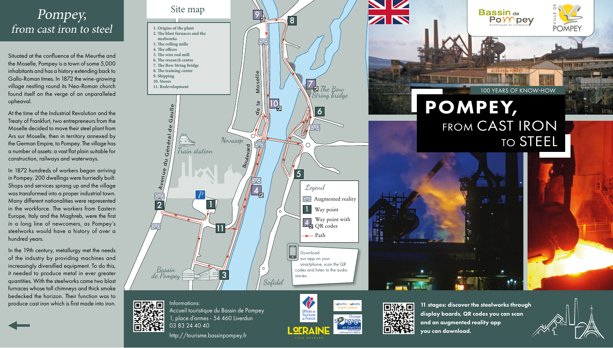# Pompey, from cast iron to steel **1. Origins of the plant**

Situated at the confluence of the Meurthe and the Moselle, Pompey is a town of some 5,000 inhabitants and has a history extending back to Gallo-Roman times. In 1872 the wine-growing village nestling round its Neo-Roman church found itself on the verge of an unparalleled upheaval.

At the time of the Industrial Revolution and the Treaty of Frankfurt, two entrepreneurs from the Moselle decided to move their steel plant from Ars sur Moselle, then in territory annexed by the German Empire, to Pompey. The village has a number of assets: a vast flat plain suitable for construction, railways and waterways.

In 1872 hundreds of workers began arriving in Pompey. 200 dwellings were hurriedly built. Shops and services sprang up and the village was transformed into a proper industrial town. Many different nationalities were represented in the workforce. The workers from Eastern Europe, Italy and the Maghreb, were the first in a long line of newcomers, as Pompey's steelworks would have a history of over a hundred years.

In the 19th century, metallurgy met the needs of the industry by providing machines and increasingly diversified equipment. To do this, it needed to produce metal in ever greater quantities. With the steelworks came two blast furnaces whose tall chimneys and thick smoke bedecked the horizon. Their function was to produce cast iron which is first made into iron.







Offices de Tourisme<br>de France

11 stages: discover the steelworks through display boards, QR codes you can scan and an augmented reality app you can download.



Accueil touristique du Bassin de Pompey تتغزز 1, place d'armes - 54 460 Liverdun 03 83 24 40 40

..⊡

Informations:

http://tourisme.bassinpompey.fr